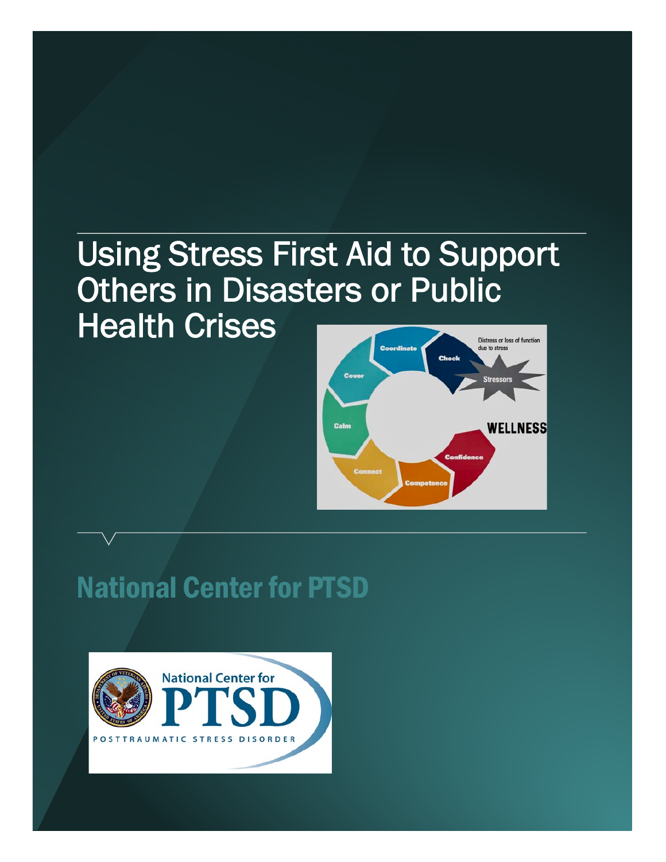# Using Stress First Aid to Support Others in Disasters or Public Health Crises



# National Center for PTSD

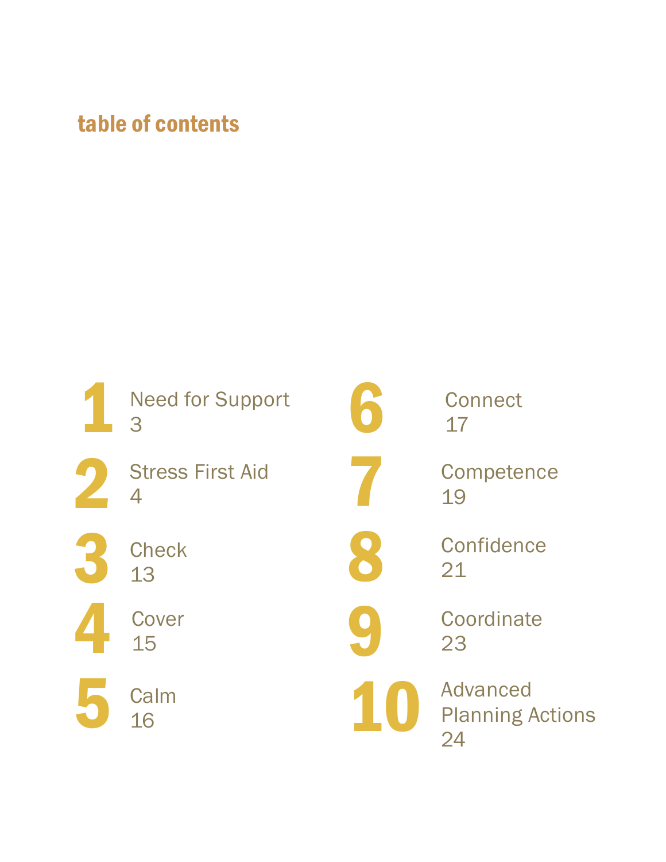### table of contents

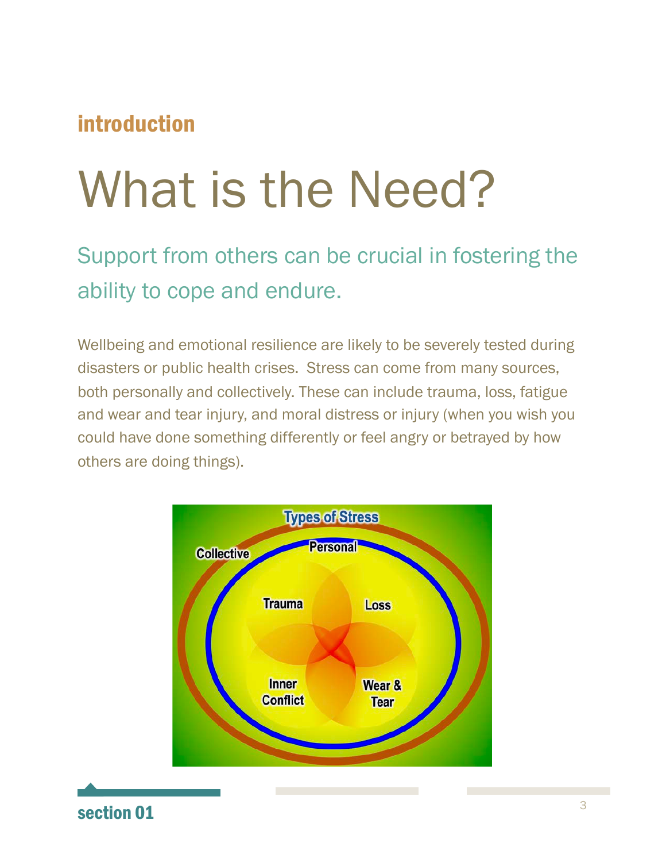### introduction

# What is the Need?

Support from others can be crucial in fostering the ability to cope and endure.

Wellbeing and emotional resilience are likely to be severely tested during disasters or public health crises. Stress can come from many sources, both personally and collectively. These can include trauma, loss, fatigue and wear and tear injury, and moral distress or injury (when you wish you could have done something differently or feel angry or betrayed by how others are doing things).



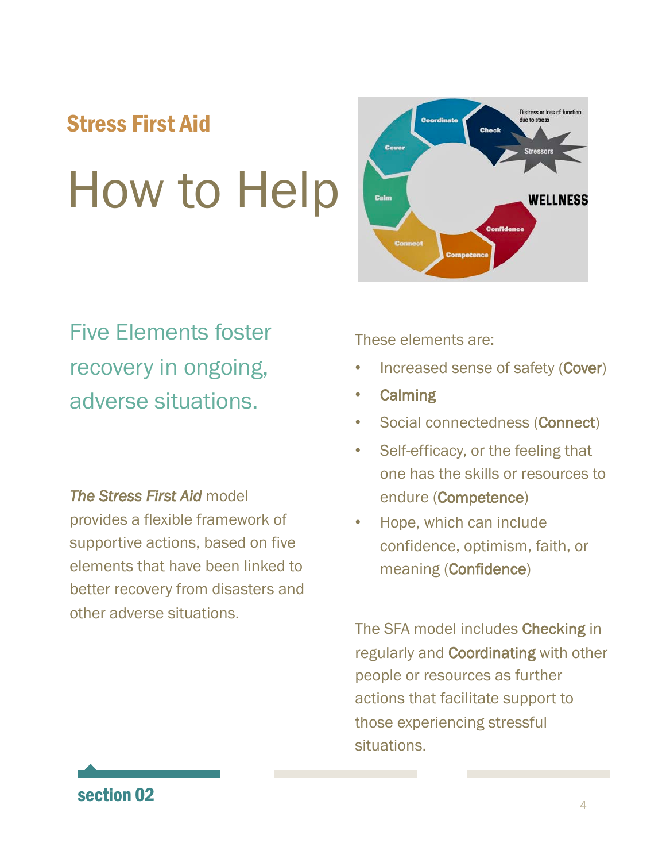# How to Help Stress First Aid



Five Elements foster recovery in ongoing, adverse situations.

*The Stress First Aid* model provides a flexible framework of supportive actions, based on five elements that have been linked to better recovery from disasters and other adverse situations.

These elements are:

- Increased sense of safety (Cover)
- **Calming**
- Social connectedness (Connect)
- Self-efficacy, or the feeling that one has the skills or resources to endure (Competence)
- Hope, which can include confidence, optimism, faith, or meaning (Confidence)

The SFA model includes Checking in regularly and Coordinating with other people or resources as further actions that facilitate support to those experiencing stressful situations.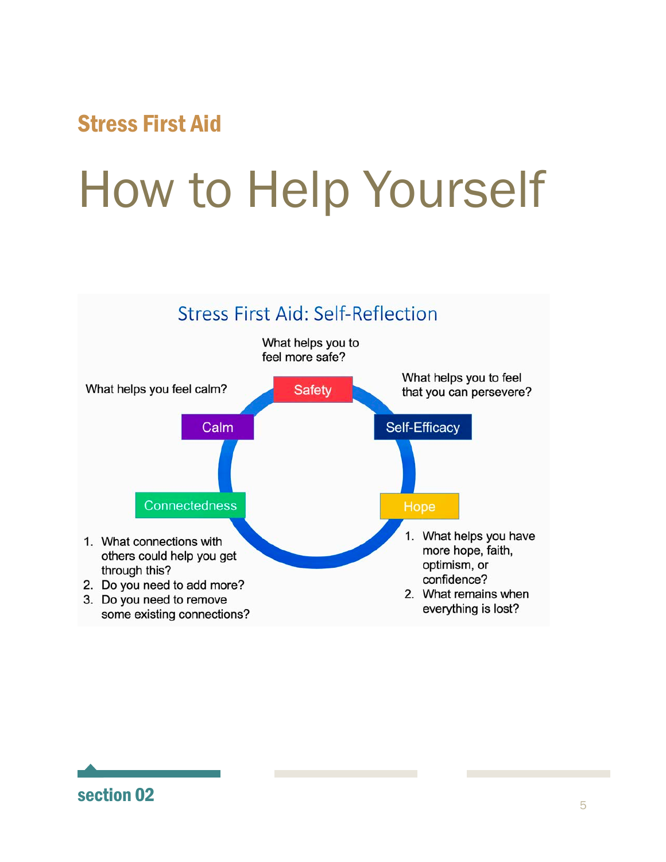# How to Help Yourself

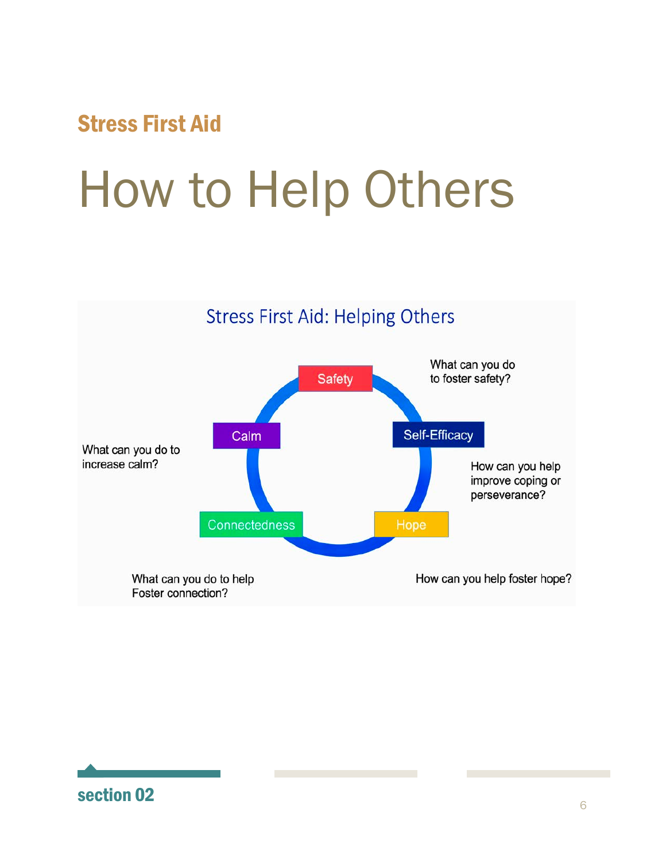# How to Help Others



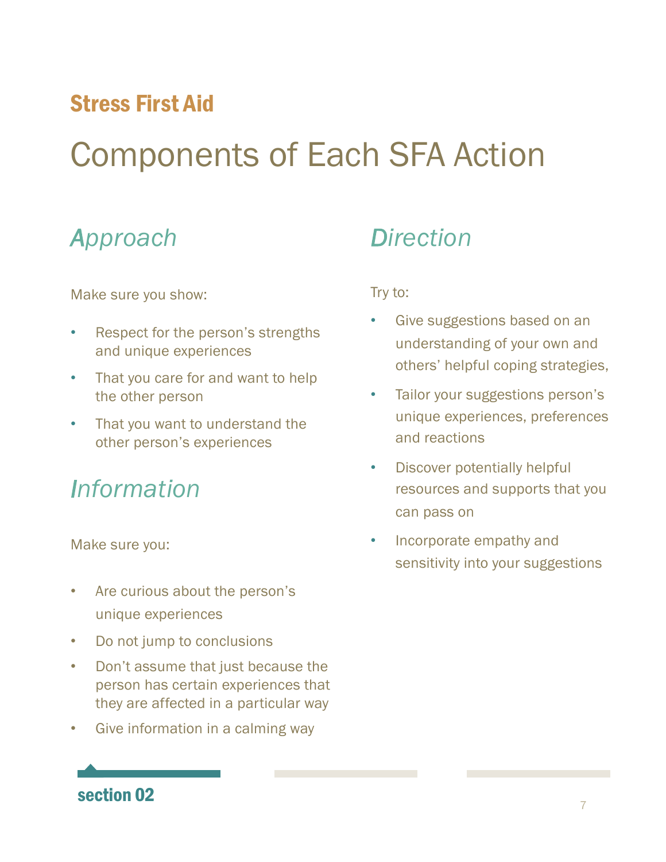# Components of Each SFA Action

### *Approach*

Make sure you show:

- Respect for the person's strengths and unique experiences
- That you care for and want to help the other person
- That you want to understand the other person's experiences

### *Information*

Make sure you:

- Are curious about the person's unique experiences
- Do not jump to conclusions
- Don't assume that just because the person has certain experiences that they are affected in a particular way
- Give information in a calming way

### *Direction*

Try to:

- Give suggestions based on an understanding of your own and others' helpful coping strategies,
- Tailor your suggestions person's unique experiences, preferences and reactions
- Discover potentially helpful resources and supports that you can pass on
- Incorporate empathy and sensitivity into your suggestions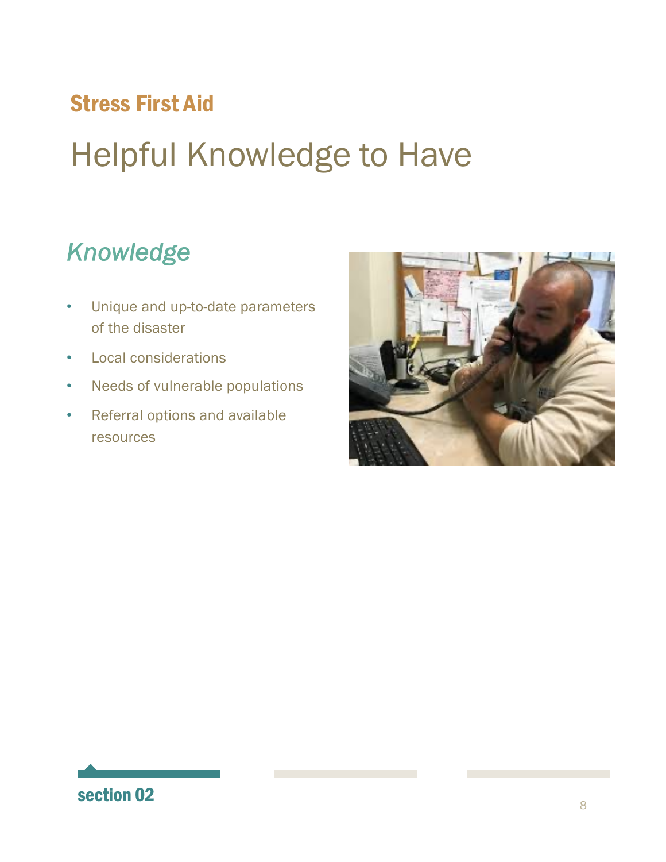# Helpful Knowledge to Have

### *Knowledge*

- Unique and up-to-date parameters of the disaster
- Local considerations
- Needs of vulnerable populations
- Referral options and available resources

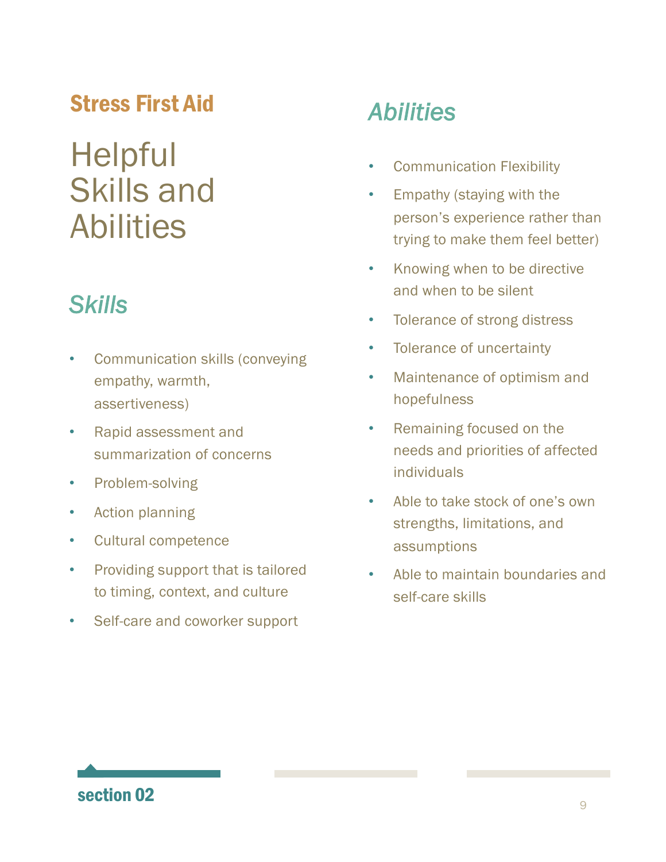# **Helpful** Skills and Abilities

## *Skills*

- Communication skills (conveying empathy, warmth, assertiveness)
- Rapid assessment and summarization of concerns
- Problem-solving
- Action planning
- Cultural competence
- Providing support that is tailored to timing, context, and culture
- Self-care and coworker support

### *Abilities*

- Communication Flexibility
- Empathy (staying with the person's experience rather than trying to make them feel better)
- Knowing when to be directive and when to be silent
- Tolerance of strong distress
- Tolerance of uncertainty
- Maintenance of optimism and hopefulness
- Remaining focused on the needs and priorities of affected individuals
- Able to take stock of one's own strengths, limitations, and assumptions
- Able to maintain boundaries and self-care skills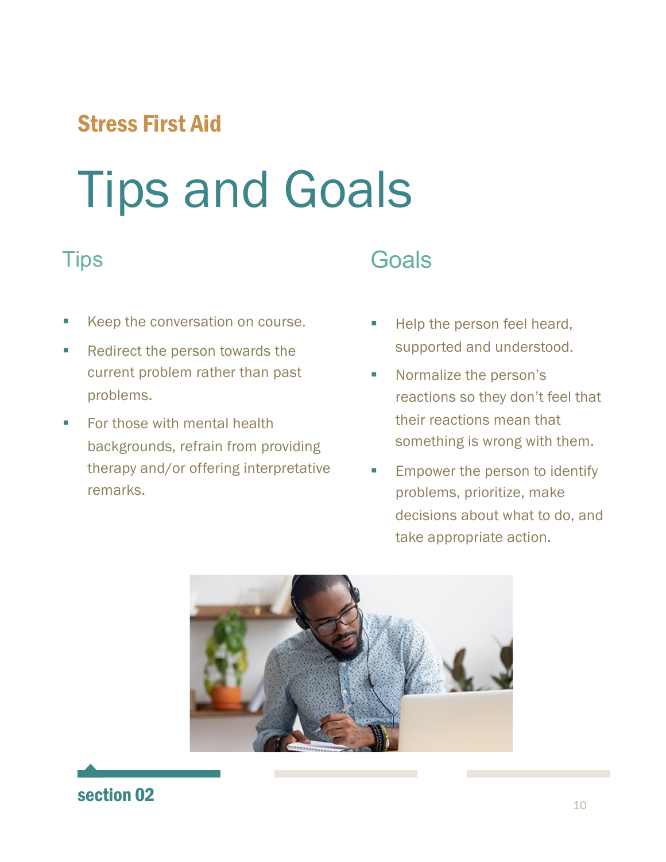# Tips and Goals

#### **Tips**

- Keep the conversation on course.
- Redirect the person towards the current problem rather than past problems.
- For those with mental health backgrounds, refrain from providing therapy and/or offering interpretative remarks.

### **Goals**

- Help the person feel heard, supported and understood.
- Normalize the person's reactions so they don't feel that their reactions mean that something is wrong with them.
- Empower the person to identify problems, prioritize, make decisions about what to do, and take appropriate action.



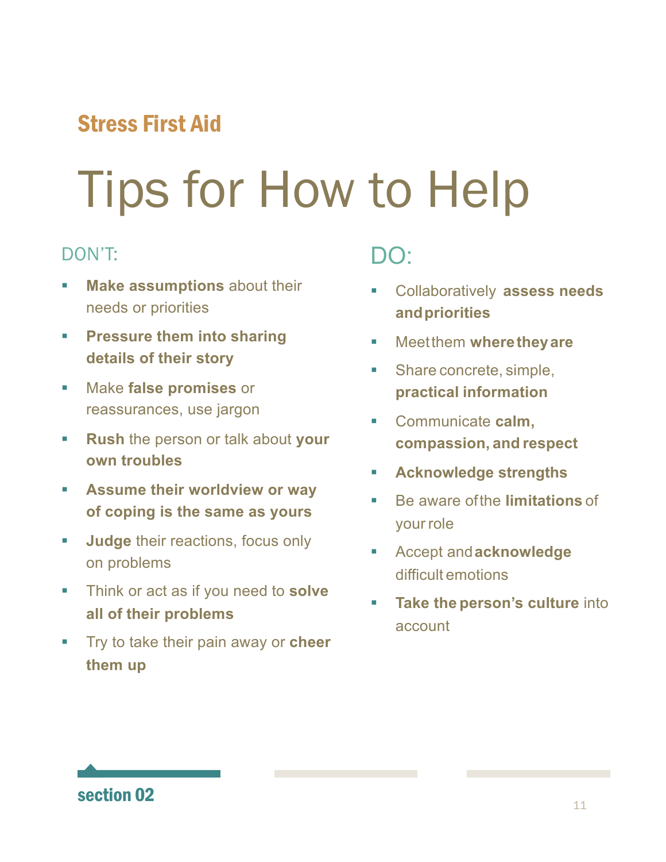# Tips for How to Help

#### DON'T:

- **Make assumptions** about their needs or priorities
- **Example 1 Pressure them into sharing details of their story**
- § Make **false promises** or reassurances, use jargon
- § **Rush** the person or talk about **your own troubles**
- **EXECUTE: Assume their worldview or way of coping is the same as yours**
- **Judge** their reactions, focus only on problems
- § Think or act as if you need to **solve all of their problems**
- § Try to take their pain away or **cheer them up**

### DO:

- § Collaboratively **assess needs andpriorities**
- § Meetthem **wheretheyare**
- Share concrete, simple, **practical information**
- § Communicate **calm, compassion, and respect**
- § **Acknowledge strengths**
- Be aware of the **limitations** of your role
- § Accept and**acknowledge**  difficult emotions
- § **Take the person's culture** into account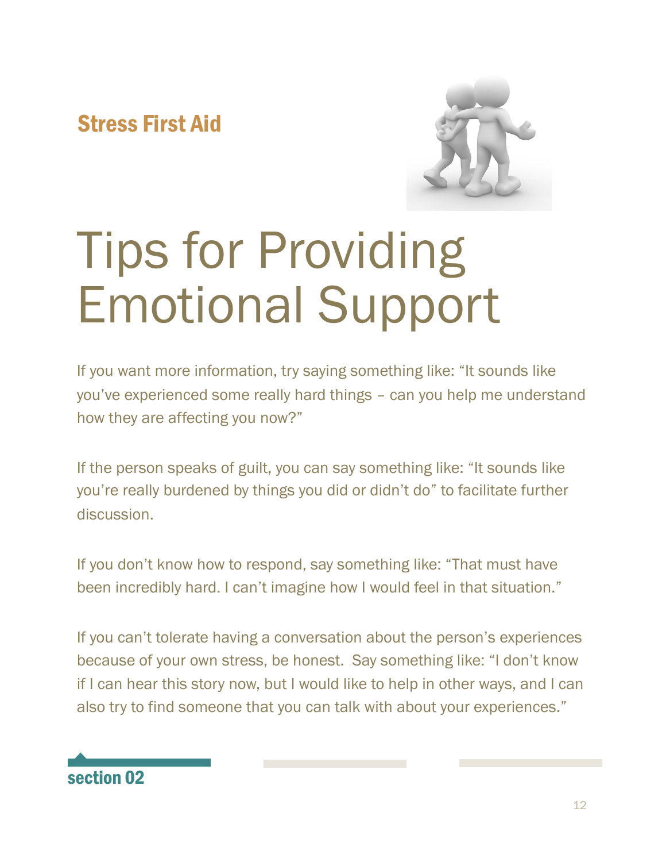

# Tips for Providing Emotional Support

If you want more information, try saying something like: "It sounds like you've experienced some really hard things – can you help me understand how they are affecting you now?"

If the person speaks of guilt, you can say something like: "It sounds like you're really burdened by things you did or didn't do" to facilitate further discussion.

If you don't know how to respond, say something like: "That must have been incredibly hard. I can't imagine how I would feel in that situation."

If you can't tolerate having a conversation about the person's experiences because of your own stress, be honest. Say something like: "I don't know if I can hear this story now, but I would like to help in other ways, and I can also try to find someone that you can talk with about your experiences."

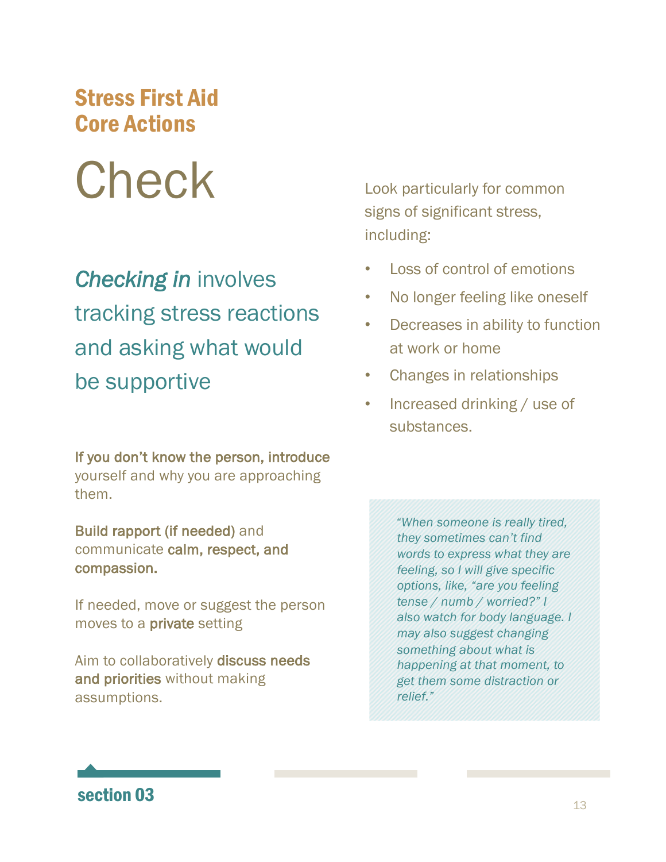### Stress First Aid Core Actions

# **Check**

# *Checking in* involves tracking stress reactions and asking what would be supportive

If you don't know the person, introduce yourself and why you are approaching them.

Build rapport (if needed) and communicate calm, respect, and compassion.

If needed, move or suggest the person moves to a private setting

Aim to collaboratively discuss needs and priorities without making assumptions.

Look particularly for common signs of significant stress, including:

- Loss of control of emotions
- No longer feeling like oneself
- Decreases in ability to function at work or home
- Changes in relationships
- Increased drinking / use of substances.

*"When someone is really tired, they sometimes can't find words to express what they are feeling, so I will give specific options, like, "are you feeling tense / numb / worried?" I also watch for body language. I may also suggest changing something about what is happening at that moment, to get them some distraction or relief."*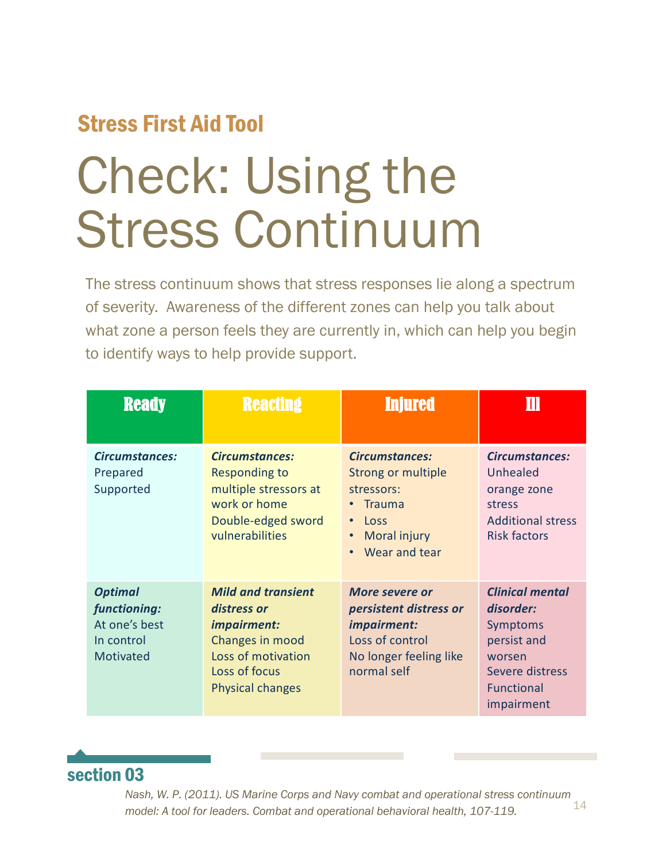### Stress First Aid Tool

# Check: Using the Stress Continuum

The stress continuum shows that stress responses lie along a spectrum of severity. Awareness of the different zones can help you talk about what zone a person feels they are currently in, which can help you begin to identify ways to help provide support.

| <b>Ready</b>                                                                      | <b>Reacting</b>                                                                                                                              | <b>Injured</b>                                                                                                                                | Ш                                                                                                                              |
|-----------------------------------------------------------------------------------|----------------------------------------------------------------------------------------------------------------------------------------------|-----------------------------------------------------------------------------------------------------------------------------------------------|--------------------------------------------------------------------------------------------------------------------------------|
| <b>Circumstances:</b><br>Prepared<br>Supported                                    | Circumstances:<br><b>Responding to</b><br>multiple stressors at<br>work or home<br>Double-edged sword<br>vulnerabilities                     | <b>Circumstances:</b><br>Strong or multiple<br>stressors:<br><b>Trauma</b><br>Loss<br>$\bullet$<br>Moral injury<br>Wear and tear<br>$\bullet$ | <b>Circumstances:</b><br>Unhealed<br>orange zone<br>stress<br><b>Additional stress</b><br><b>Risk factors</b>                  |
| <b>Optimal</b><br>functioning:<br>At one's best<br>In control<br><b>Motivated</b> | <b>Mild and transient</b><br>distress or<br>impairment:<br>Changes in mood<br>Loss of motivation<br>Loss of focus<br><b>Physical changes</b> | More severe or<br>persistent distress or<br>impairment:<br>Loss of control<br>No longer feeling like<br>normal self                           | <b>Clinical mental</b><br>disorder:<br>Symptoms<br>persist and<br>worsen<br>Severe distress<br><b>Functional</b><br>impairment |

#### section 03

14 *Nash, W. P. (2011). US Marine Corps and Navy combat and operational stress continuum model: A tool for leaders. Combat and operational behavioral health, 107-119.*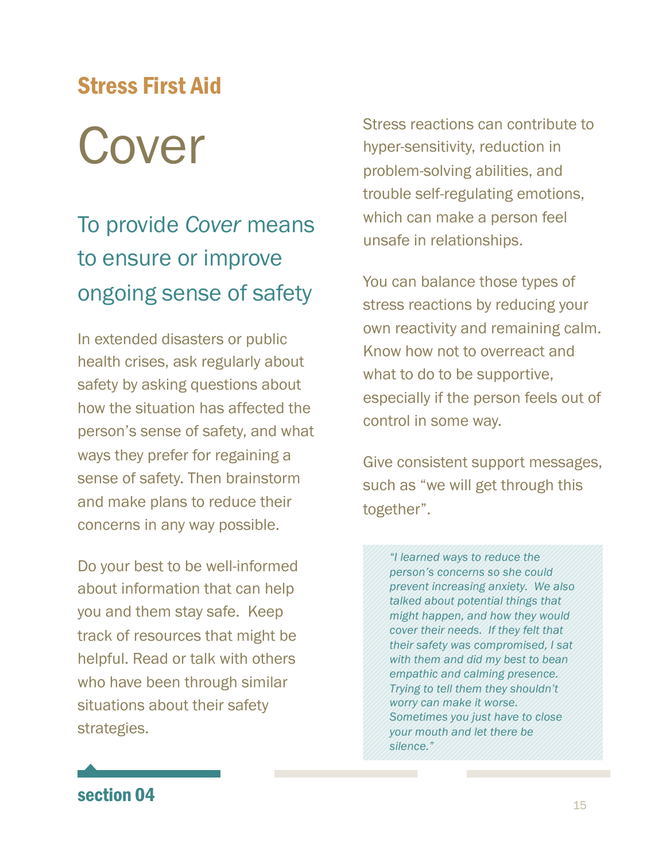# Cover Stress First Aid

# To provide *Cover* means to ensure or improve ongoing sense of safety

In extended disasters or public health crises, ask regularly about safety by asking questions about how the situation has affected the person's sense of safety, and what ways they prefer for regaining a sense of safety. Then brainstorm and make plans to reduce their concerns in any way possible.

Do your best to be well-informed about information that can help you and them stay safe. Keep track of resources that might be helpful. Read or talk with others who have been through similar situations about their safety strategies.

Stress reactions can contribute to hyper-sensitivity, reduction in problem-solving abilities, and trouble self-regulating emotions, which can make a person feel unsafe in relationships.

You can balance those types of stress reactions by reducing your own reactivity and remaining calm. Know how not to overreact and what to do to be supportive, especially if the person feels out of control in some way.

Give consistent support messages, such as "we will get through this together".

> *"I learned ways to reduce the person's concerns so she could prevent increasing anxiety. We also talked about potential things that might happen, and how they would cover their needs. If they felt that their safety was compromised, I sat with them and did my best to bean empathic and calming presence. Trying to tell them they shouldn't worry can make it worse. Sometimes you just have to close your mouth and let there be silence."*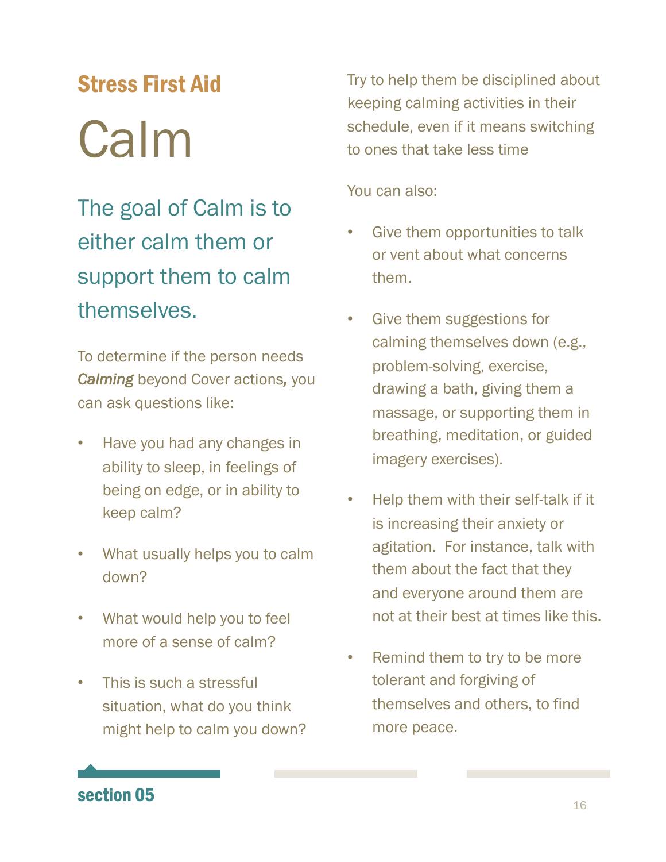# Calm Stress First Aid

The goal of Calm is to either calm them or support them to calm themselves.

To determine if the person needs *Calming* beyond Cover actions*,* you can ask questions like:

- Have you had any changes in ability to sleep, in feelings of being on edge, or in ability to keep calm?
- What usually helps you to calm down?
- What would help you to feel more of a sense of calm?
- This is such a stressful situation, what do you think might help to calm you down?

Try to help them be disciplined about keeping calming activities in their schedule, even if it means switching to ones that take less time

You can also:

- Give them opportunities to talk or vent about what concerns them.
- Give them suggestions for calming themselves down (e.g., problem-solving, exercise, drawing a bath, giving them a massage, or supporting them in breathing, meditation, or guided imagery exercises).
- Help them with their self-talk if it is increasing their anxiety or agitation. For instance, talk with them about the fact that they and everyone around them are not at their best at times like this.
- Remind them to try to be more tolerant and forgiving of themselves and others, to find more peace.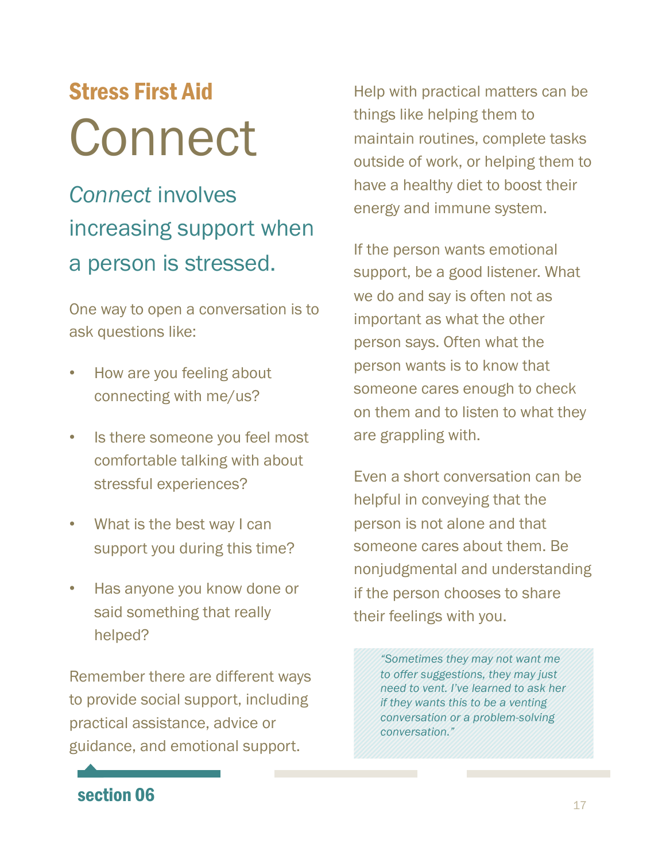# Connect Stress First Aid

# *Connect* involves increasing support when a person is stressed.

One way to open a conversation is to ask questions like:

- How are you feeling about connecting with me/us?
- Is there someone you feel most comfortable talking with about stressful experiences?
- What is the best way I can support you during this time?
- Has anyone you know done or said something that really helped?

Remember there are different ways to provide social support, including practical assistance, advice or guidance, and emotional support.

Help with practical matters can be things like helping them to maintain routines, complete tasks outside of work, or helping them to have a healthy diet to boost their energy and immune system.

If the person wants emotional support, be a good listener. What we do and say is often not as important as what the other person says. Often what the person wants is to know that someone cares enough to check on them and to listen to what they are grappling with.

Even a short conversation can be helpful in conveying that the person is not alone and that someone cares about them. Be nonjudgmental and understanding if the person chooses to share their feelings with you.

> *"Sometimes they may not want me to offer suggestions, they may just need to vent. I've learned to ask her if they wants this to be a venting conversation or a problem-solving conversation."*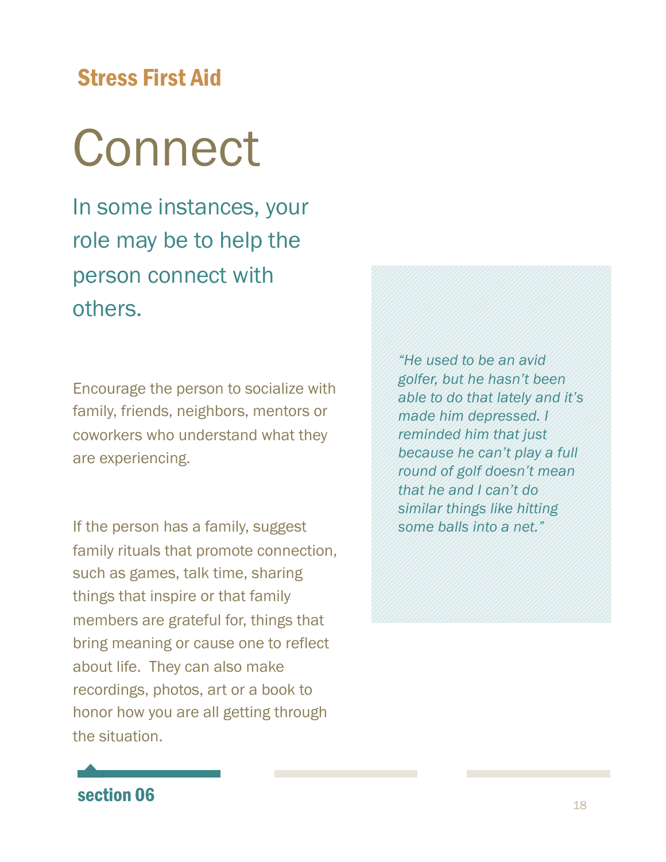# Connect

In some instances, your role may be to help the person connect with others.

Encourage the person to socialize with family, friends, neighbors, mentors or coworkers who understand what they are experiencing.

If the person has a family, suggest family rituals that promote connection, such as games, talk time, sharing things that inspire or that family members are grateful for, things that bring meaning or cause one to reflect about life. They can also make recordings, photos, art or a book to honor how you are all getting through the situation.

*"He used to be an avid golfer, but he hasn't been able to do that lately and it's made him depressed. I reminded him that just because he can't play a full round of golf doesn't mean that he and I can't do similar things like hitting some balls into a net."*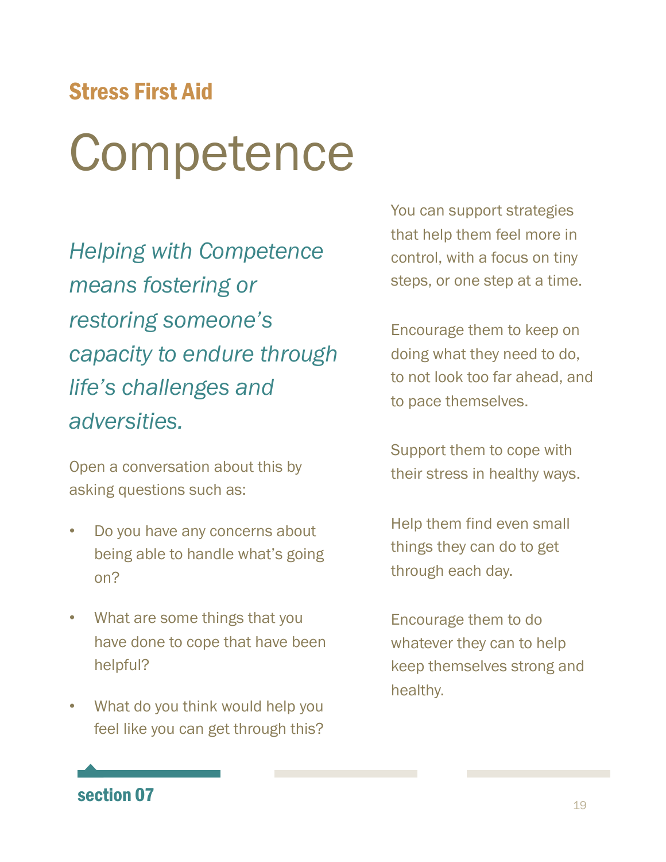# **Competence**

*Helping with Competence means fostering or restoring someone's capacity to endure through life's challenges and adversities.* 

Open a conversation about this by asking questions such as:

- Do you have any concerns about being able to handle what's going on?
- What are some things that you have done to cope that have been helpful?
- What do you think would help you feel like you can get through this?

You can support strategies that help them feel more in control, with a focus on tiny steps, or one step at a time.

Encourage them to keep on doing what they need to do, to not look too far ahead, and to pace themselves.

Support them to cope with their stress in healthy ways.

Help them find even small things they can do to get through each day.

Encourage them to do whatever they can to help keep themselves strong and healthy.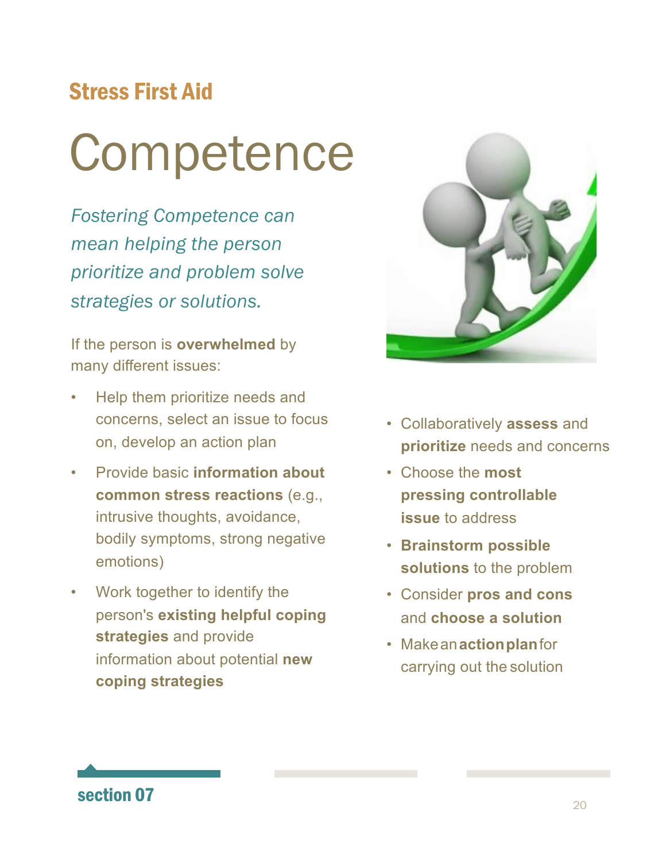# **Competence**

*Fostering Competence can mean helping the person prioritize and problem solve strategies or solutions.* 

If the person is **overwhelmed** by many different issues:

- Help them prioritize needs and concerns, select an issue to focus on, develop an action plan
- Provide basic **information about common stress reactions** (e.g., intrusive thoughts, avoidance, bodily symptoms, strong negative emotions)
- Work together to identify the person's **existing helpful coping strategies** and provide information about potential **new coping strategies**



- Collaboratively **assess** and **prioritize** needs and concerns
- Choose the **most pressing controllable issue** to address
- **Brainstorm possible solutions** to the problem
- Consider **pros and cons**  and **choose a solution**
- Makean**actionplan**for carrying out the solution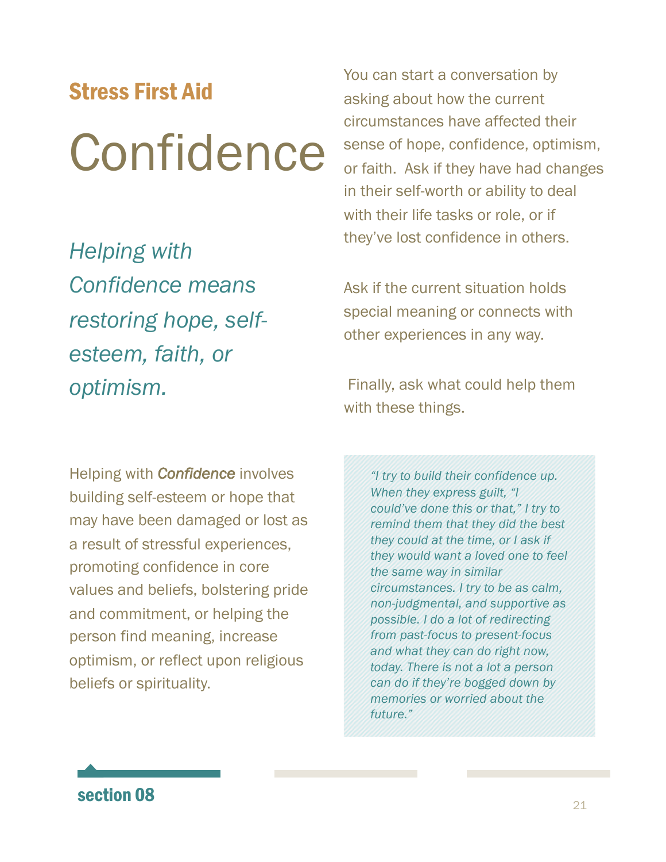# Confidence Stress First Aid

*Helping with Confidence means restoring hope, selfesteem, faith, or optimism.* 

You can start a conversation by asking about how the current circumstances have affected their sense of hope, confidence, optimism, or faith. Ask if they have had changes in their self-worth or ability to deal with their life tasks or role, or if they've lost confidence in others.

Ask if the current situation holds special meaning or connects with other experiences in any way.

Finally, ask what could help them with these things.

Helping with *Confidence* involves building self-esteem or hope that may have been damaged or lost as a result of stressful experiences, promoting confidence in core values and beliefs, bolstering pride and commitment, or helping the person find meaning, increase optimism, or reflect upon religious beliefs or spirituality.

*"I try to build their confidence up. When they express guilt, "I could've done this or that," I try to remind them that they did the best they could at the time, or I ask if they would want a loved one to feel the same way in similar circumstances. I try to be as calm, non-judgmental, and supportive as possible. I do a lot of redirecting from past-focus to present-focus and what they can do right now, today. There is not a lot a person can do if they're bogged down by memories or worried about the future."*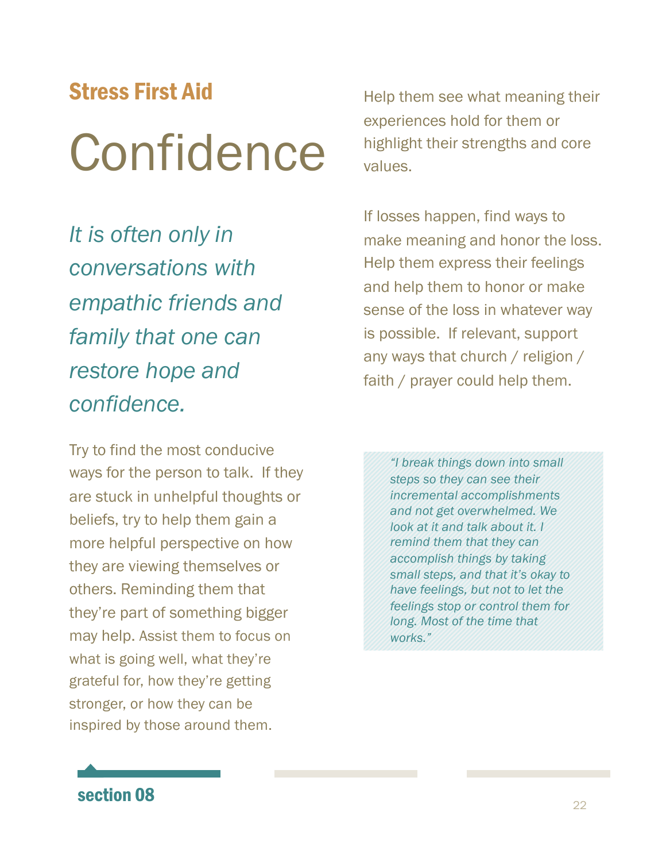# Confidence Stress First Aid

*It is often only in conversations with empathic friends and family that one can restore hope and confidence.* 

Try to find the most conducive ways for the person to talk. If they are stuck in unhelpful thoughts or beliefs, try to help them gain a more helpful perspective on how they are viewing themselves or others. Reminding them that they're part of something bigger may help. Assist them to focus on what is going well, what they're grateful for, how they're getting stronger, or how they can be inspired by those around them.

Help them see what meaning their experiences hold for them or highlight their strengths and core values.

If losses happen, find ways to make meaning and honor the loss. Help them express their feelings and help them to honor or make sense of the loss in whatever way is possible. If relevant, support any ways that church / religion / faith / prayer could help them.

*"I break things down into small steps so they can see their incremental accomplishments and not get overwhelmed. We look at it and talk about it. I remind them that they can accomplish things by taking small steps, and that it's okay to have feelings, but not to let the feelings stop or control them for long. Most of the time that works."*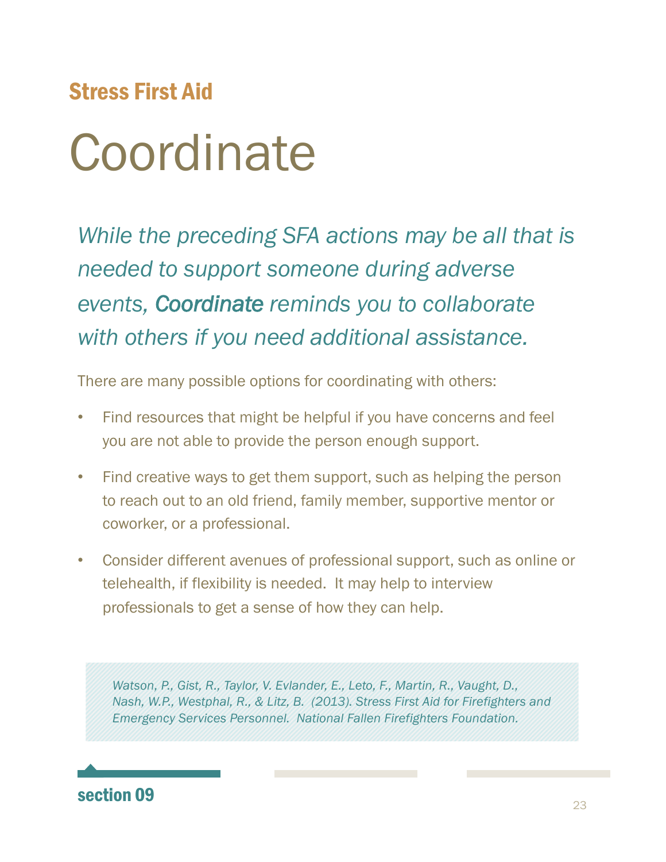# **Coordinate**

*While the preceding SFA actions may be all that is needed to support someone during adverse events, Coordinate reminds you to collaborate with others if you need additional assistance.*

There are many possible options for coordinating with others:

- Find resources that might be helpful if you have concerns and feel you are not able to provide the person enough support.
- Find creative ways to get them support, such as helping the person to reach out to an old friend, family member, supportive mentor or coworker, or a professional.
- Consider different avenues of professional support, such as online or telehealth, if flexibility is needed. It may help to interview professionals to get a sense of how they can help.

*Watson, P., Gist, R., Taylor, V. Evlander, E., Leto, F., Martin, R., Vaught, D., Nash, W.P., Westphal, R., & Litz, B. (2013). Stress First Aid for Firefighters and Emergency Services Personnel. National Fallen Firefighters Foundation.*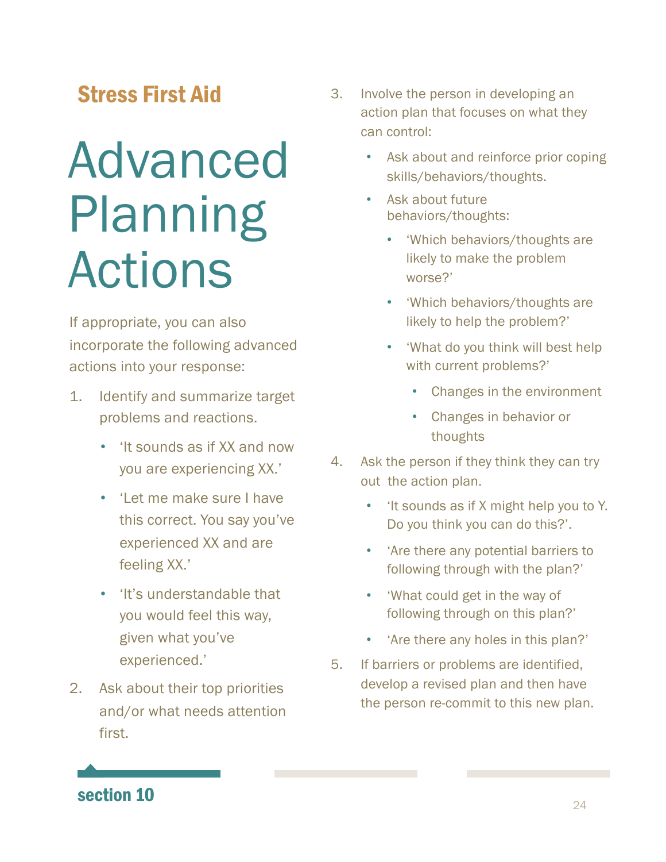# Advanced Planning Actions

If appropriate, you can also incorporate the following advanced actions into your response:

- 1. Identify and summarize target problems and reactions.
	- 'It sounds as if XX and now you are experiencing XX.'
	- 'Let me make sure I have this correct. You say you've experienced XX and are feeling XX.'
	- 'It's understandable that you would feel this way, given what you've experienced.'
- 2. Ask about their top priorities and/or what needs attention first.
- 3. Involve the person in developing an action plan that focuses on what they can control:
	- Ask about and reinforce prior coping skills/behaviors/thoughts.
	- Ask about future behaviors/thoughts:
		- 'Which behaviors/thoughts are likely to make the problem worse?'
		- 'Which behaviors/thoughts are likely to help the problem?'
		- 'What do you think will best help with current problems?'
			- Changes in the environment
			- Changes in behavior or thoughts
- 4. Ask the person if they think they can try out the action plan.
	- 'It sounds as if X might help you to Y. Do you think you can do this?'.
	- 'Are there any potential barriers to following through with the plan?'
	- 'What could get in the way of following through on this plan?'
	- 'Are there any holes in this plan?'
- 5. If barriers or problems are identified, develop a revised plan and then have the person re-commit to this new plan.